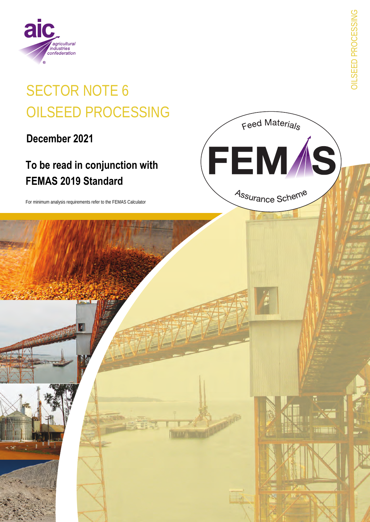

# **SECTOR NOTE 6 OILSEED PROCESSING**

December 2021

# To be read in conjunction with **FEMAS 2019 Standard**

For minimum analysis requirements refer to the FEMAS Calculator

**DILSEED PROCESSING** 

Feed Materials

FEM*Í*S)

Assurance Scheme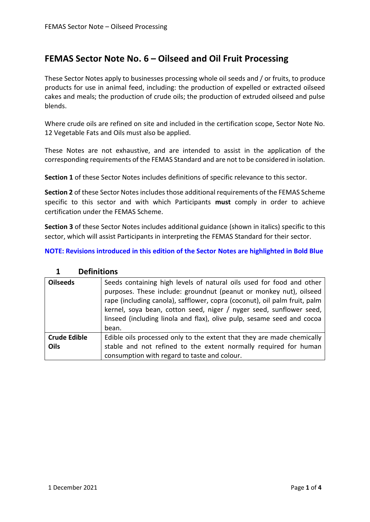## **FEMAS Sector Note No. 6 – Oilseed and Oil Fruit Processing**

These Sector Notes apply to businesses processing whole oil seeds and / or fruits, to produce products for use in animal feed, including: the production of expelled or extracted oilseed cakes and meals; the production of crude oils; the production of extruded oilseed and pulse blends.

Where crude oils are refined on site and included in the certification scope, Sector Note No. 12 Vegetable Fats and Oils must also be applied.

These Notes are not exhaustive, and are intended to assist in the application of the corresponding requirements of the FEMAS Standard and are not to be considered in isolation.

**Section 1** of these Sector Notes includes definitions of specific relevance to this sector.

**Section 2** of these Sector Notes includes those additional requirements of the FEMAS Scheme specific to this sector and with which Participants **must** comply in order to achieve certification under the FEMAS Scheme.

**Section 3** of these Sector Notes includes additional guidance (shown in italics) specific to this sector, which will assist Participants in interpreting the FEMAS Standard for their sector.

**NOTE: Revisions introduced in this edition of the Sector Notes are highlighted in Bold Blue**

| <b>Oilseeds</b>     | Seeds containing high levels of natural oils used for food and other<br>purposes. These include: groundnut (peanut or monkey nut), oilseed<br>rape (including canola), safflower, copra (coconut), oil palm fruit, palm<br>kernel, soya bean, cotton seed, niger / nyger seed, sunflower seed,<br>linseed (including linola and flax), olive pulp, sesame seed and cocoa<br>bean. |  |
|---------------------|-----------------------------------------------------------------------------------------------------------------------------------------------------------------------------------------------------------------------------------------------------------------------------------------------------------------------------------------------------------------------------------|--|
| <b>Crude Edible</b> | Edible oils processed only to the extent that they are made chemically                                                                                                                                                                                                                                                                                                            |  |
| Oils                | stable and not refined to the extent normally required for human                                                                                                                                                                                                                                                                                                                  |  |
|                     | consumption with regard to taste and colour.                                                                                                                                                                                                                                                                                                                                      |  |

#### **1 Definitions**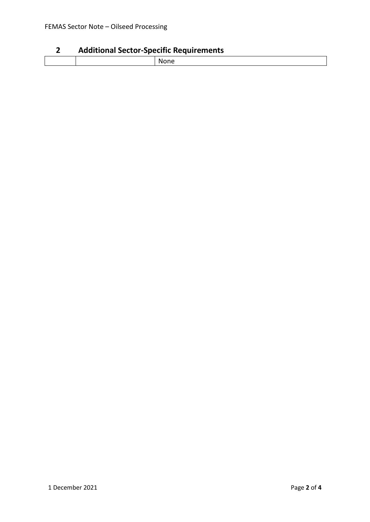### **2 Additional Sector-Specific Requirements**

| _______ |  |       |  |
|---------|--|-------|--|
|         |  | ,,,,, |  |
|         |  |       |  |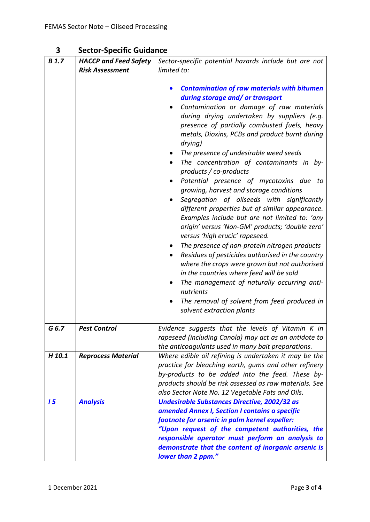| 3 | <b>Sector-Specific Guidance</b> |
|---|---------------------------------|
|---|---------------------------------|

| <b>B</b> 1.7 | <b>HACCP and Feed Safety</b> | Sector-specific potential hazards include but are not                                                                                                                                                                                                                                                                                                                                                                                                                                                                                                                                                                                                                                                                                                                                                                                                                                                                                                                                                                                                                                  |
|--------------|------------------------------|----------------------------------------------------------------------------------------------------------------------------------------------------------------------------------------------------------------------------------------------------------------------------------------------------------------------------------------------------------------------------------------------------------------------------------------------------------------------------------------------------------------------------------------------------------------------------------------------------------------------------------------------------------------------------------------------------------------------------------------------------------------------------------------------------------------------------------------------------------------------------------------------------------------------------------------------------------------------------------------------------------------------------------------------------------------------------------------|
|              | <b>Risk Assessment</b>       | limited to:                                                                                                                                                                                                                                                                                                                                                                                                                                                                                                                                                                                                                                                                                                                                                                                                                                                                                                                                                                                                                                                                            |
|              |                              | <b>Contamination of raw materials with bitumen</b><br>during storage and/ or transport<br>Contamination or damage of raw materials<br>during drying undertaken by suppliers (e.g.<br>presence of partially combusted fuels, heavy<br>metals, Dioxins, PCBs and product burnt during<br>drying)<br>The presence of undesirable weed seeds<br>The concentration of contaminants in by-<br>products / co-products<br>Potential presence of mycotoxins due to<br>growing, harvest and storage conditions<br>Segregation of oilseeds with significantly<br>different properties but of similar appearance.<br>Examples include but are not limited to: 'any<br>origin' versus 'Non-GM' products; 'double zero'<br>versus 'high erucic' rapeseed.<br>The presence of non-protein nitrogen products<br>Residues of pesticides authorised in the country<br>where the crops were grown but not authorised<br>in the countries where feed will be sold<br>The management of naturally occurring anti-<br>nutrients<br>The removal of solvent from feed produced in<br>solvent extraction plants |
| G 6.7        | <b>Pest Control</b>          | Evidence suggests that the levels of Vitamin K in<br>rapeseed (including Canola) may act as an antidote to<br>the anticoagulants used in many bait preparations.                                                                                                                                                                                                                                                                                                                                                                                                                                                                                                                                                                                                                                                                                                                                                                                                                                                                                                                       |
| H 10.1       | <b>Reprocess Material</b>    | Where edible oil refining is undertaken it may be the<br>practice for bleaching earth, gums and other refinery<br>by-products to be added into the feed. These by-<br>products should be risk assessed as raw materials. See<br>also Sector Note No. 12 Vegetable Fats and Oils.                                                                                                                                                                                                                                                                                                                                                                                                                                                                                                                                                                                                                                                                                                                                                                                                       |
| 15           | <b>Analysis</b>              | <b>Undesirable Substances Directive, 2002/32 as</b><br>amended Annex I, Section I contains a specific<br>footnote for arsenic in palm kernel expeller:<br>"Upon request of the competent authorities, the<br>responsible operator must perform an analysis to<br>demonstrate that the content of inorganic arsenic is<br>lower than 2 ppm."                                                                                                                                                                                                                                                                                                                                                                                                                                                                                                                                                                                                                                                                                                                                            |